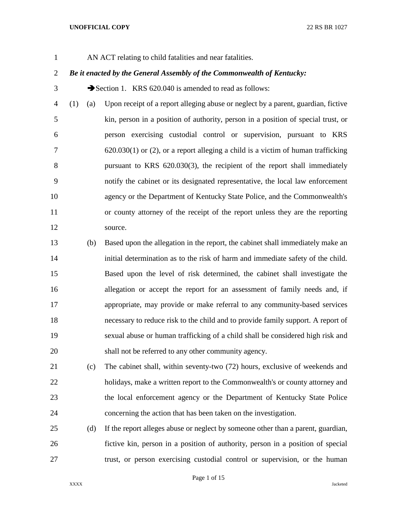AN ACT relating to child fatalities and near fatalities.

## *Be it enacted by the General Assembly of the Commonwealth of Kentucky:*

3 Section 1. KRS 620.040 is amended to read as follows:

 (1) (a) Upon receipt of a report alleging abuse or neglect by a parent, guardian, fictive kin, person in a position of authority, person in a position of special trust, or person exercising custodial control or supervision, pursuant to KRS 620.030(1) or (2), or a report alleging a child is a victim of human trafficking pursuant to KRS 620.030(3), the recipient of the report shall immediately notify the cabinet or its designated representative, the local law enforcement agency or the Department of Kentucky State Police, and the Commonwealth's or county attorney of the receipt of the report unless they are the reporting 12 source.

 (b) Based upon the allegation in the report, the cabinet shall immediately make an initial determination as to the risk of harm and immediate safety of the child. Based upon the level of risk determined, the cabinet shall investigate the allegation or accept the report for an assessment of family needs and, if appropriate, may provide or make referral to any community-based services necessary to reduce risk to the child and to provide family support. A report of sexual abuse or human trafficking of a child shall be considered high risk and shall not be referred to any other community agency.

 (c) The cabinet shall, within seventy-two (72) hours, exclusive of weekends and holidays, make a written report to the Commonwealth's or county attorney and the local enforcement agency or the Department of Kentucky State Police concerning the action that has been taken on the investigation.

 (d) If the report alleges abuse or neglect by someone other than a parent, guardian, fictive kin, person in a position of authority, person in a position of special trust, or person exercising custodial control or supervision, or the human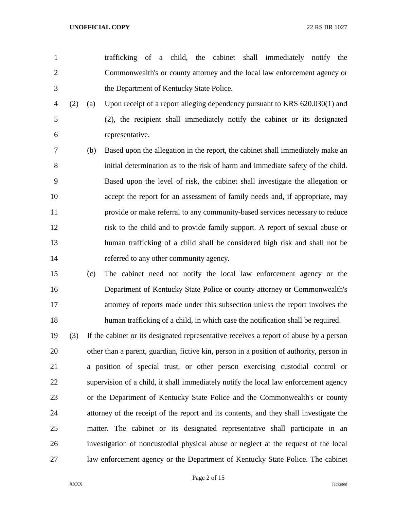- trafficking of a child, the cabinet shall immediately notify the Commonwealth's or county attorney and the local law enforcement agency or the Department of Kentucky State Police.
- (2) (a) Upon receipt of a report alleging dependency pursuant to KRS 620.030(1) and (2), the recipient shall immediately notify the cabinet or its designated representative.
- (b) Based upon the allegation in the report, the cabinet shall immediately make an initial determination as to the risk of harm and immediate safety of the child. Based upon the level of risk, the cabinet shall investigate the allegation or accept the report for an assessment of family needs and, if appropriate, may provide or make referral to any community-based services necessary to reduce risk to the child and to provide family support. A report of sexual abuse or human trafficking of a child shall be considered high risk and shall not be referred to any other community agency.
- (c) The cabinet need not notify the local law enforcement agency or the Department of Kentucky State Police or county attorney or Commonwealth's attorney of reports made under this subsection unless the report involves the human trafficking of a child, in which case the notification shall be required.
- (3) If the cabinet or its designated representative receives a report of abuse by a person other than a parent, guardian, fictive kin, person in a position of authority, person in a position of special trust, or other person exercising custodial control or supervision of a child, it shall immediately notify the local law enforcement agency or the Department of Kentucky State Police and the Commonwealth's or county attorney of the receipt of the report and its contents, and they shall investigate the matter. The cabinet or its designated representative shall participate in an investigation of noncustodial physical abuse or neglect at the request of the local law enforcement agency or the Department of Kentucky State Police. The cabinet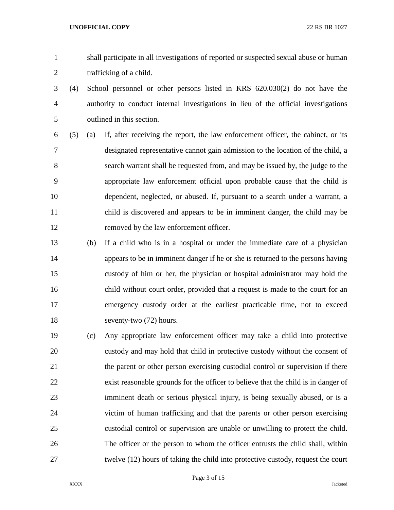- shall participate in all investigations of reported or suspected sexual abuse or human trafficking of a child.
- (4) School personnel or other persons listed in KRS 620.030(2) do not have the authority to conduct internal investigations in lieu of the official investigations outlined in this section.
- (5) (a) If, after receiving the report, the law enforcement officer, the cabinet, or its designated representative cannot gain admission to the location of the child, a search warrant shall be requested from, and may be issued by, the judge to the appropriate law enforcement official upon probable cause that the child is dependent, neglected, or abused. If, pursuant to a search under a warrant, a child is discovered and appears to be in imminent danger, the child may be removed by the law enforcement officer.
- (b) If a child who is in a hospital or under the immediate care of a physician appears to be in imminent danger if he or she is returned to the persons having custody of him or her, the physician or hospital administrator may hold the child without court order, provided that a request is made to the court for an emergency custody order at the earliest practicable time, not to exceed seventy-two (72) hours.
- (c) Any appropriate law enforcement officer may take a child into protective custody and may hold that child in protective custody without the consent of the parent or other person exercising custodial control or supervision if there exist reasonable grounds for the officer to believe that the child is in danger of imminent death or serious physical injury, is being sexually abused, or is a victim of human trafficking and that the parents or other person exercising custodial control or supervision are unable or unwilling to protect the child. The officer or the person to whom the officer entrusts the child shall, within twelve (12) hours of taking the child into protective custody, request the court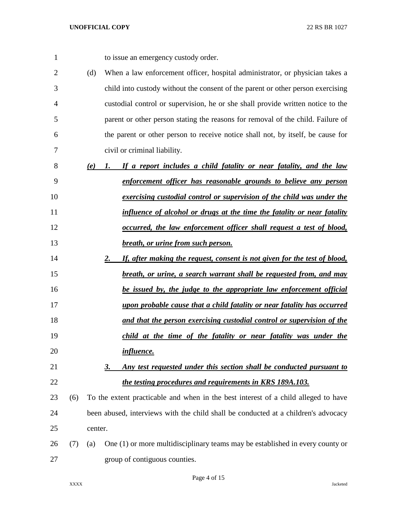to issue an emergency custody order.

- (d) When a law enforcement officer, hospital administrator, or physician takes a child into custody without the consent of the parent or other person exercising custodial control or supervision, he or she shall provide written notice to the parent or other person stating the reasons for removal of the child. Failure of the parent or other person to receive notice shall not, by itself, be cause for civil or criminal liability.
- *(e) 1. If a report includes a child fatality or near fatality, and the law enforcement officer has reasonable grounds to believe any person exercising custodial control or supervision of the child was under the influence of alcohol or drugs at the time the fatality or near fatality occurred, the law enforcement officer shall request a test of blood, breath, or urine from such person.*
- *2. If, after making the request, consent is not given for the test of blood, breath, or urine, a search warrant shall be requested from, and may be issued by, the judge to the appropriate law enforcement official upon probable cause that a child fatality or near fatality has occurred*
- *and that the person exercising custodial control or supervision of the*
- *child at the time of the fatality or near fatality was under the influence.*
- *3. Any test requested under this section shall be conducted pursuant to the testing procedures and requirements in KRS 189A.103.*
- (6) To the extent practicable and when in the best interest of a child alleged to have been abused, interviews with the child shall be conducted at a children's advocacy center.
- (7) (a) One (1) or more multidisciplinary teams may be established in every county or group of contiguous counties.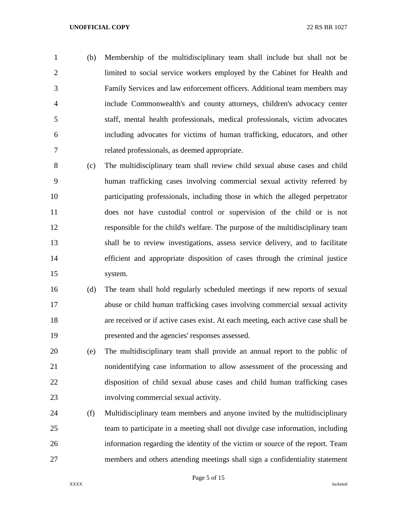- (b) Membership of the multidisciplinary team shall include but shall not be limited to social service workers employed by the Cabinet for Health and Family Services and law enforcement officers. Additional team members may include Commonwealth's and county attorneys, children's advocacy center staff, mental health professionals, medical professionals, victim advocates including advocates for victims of human trafficking, educators, and other related professionals, as deemed appropriate.
- (c) The multidisciplinary team shall review child sexual abuse cases and child human trafficking cases involving commercial sexual activity referred by participating professionals, including those in which the alleged perpetrator does not have custodial control or supervision of the child or is not responsible for the child's welfare. The purpose of the multidisciplinary team shall be to review investigations, assess service delivery, and to facilitate efficient and appropriate disposition of cases through the criminal justice system.
- (d) The team shall hold regularly scheduled meetings if new reports of sexual abuse or child human trafficking cases involving commercial sexual activity are received or if active cases exist. At each meeting, each active case shall be presented and the agencies' responses assessed.
- (e) The multidisciplinary team shall provide an annual report to the public of nonidentifying case information to allow assessment of the processing and disposition of child sexual abuse cases and child human trafficking cases involving commercial sexual activity.
- (f) Multidisciplinary team members and anyone invited by the multidisciplinary team to participate in a meeting shall not divulge case information, including information regarding the identity of the victim or source of the report. Team members and others attending meetings shall sign a confidentiality statement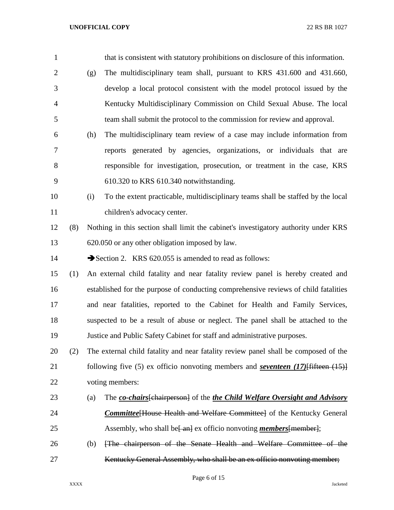| $\mathbf{1}$   |     |     | that is consistent with statutory prohibitions on disclosure of this information.          |
|----------------|-----|-----|--------------------------------------------------------------------------------------------|
| $\overline{2}$ |     | (g) | The multidisciplinary team shall, pursuant to KRS 431.600 and 431.660,                     |
| 3              |     |     | develop a local protocol consistent with the model protocol issued by the                  |
| 4              |     |     | Kentucky Multidisciplinary Commission on Child Sexual Abuse. The local                     |
| 5              |     |     | team shall submit the protocol to the commission for review and approval.                  |
| 6              |     | (h) | The multidisciplinary team review of a case may include information from                   |
| 7              |     |     | reports generated by agencies, organizations, or individuals that are                      |
| 8              |     |     | responsible for investigation, prosecution, or treatment in the case, KRS                  |
| 9              |     |     | 610.320 to KRS 610.340 notwithstanding.                                                    |
| 10             |     | (i) | To the extent practicable, multidisciplinary teams shall be staffed by the local           |
| 11             |     |     | children's advocacy center.                                                                |
| 12             | (8) |     | Nothing in this section shall limit the cabinet's investigatory authority under KRS        |
| 13             |     |     | 620.050 or any other obligation imposed by law.                                            |
| 14             |     |     | Section 2. KRS $620.055$ is amended to read as follows:                                    |
| 15             | (1) |     | An external child fatality and near fatality review panel is hereby created and            |
| 16             |     |     | established for the purpose of conducting comprehensive reviews of child fatalities        |
| 17             |     |     | and near fatalities, reported to the Cabinet for Health and Family Services,               |
| 18             |     |     | suspected to be a result of abuse or neglect. The panel shall be attached to the           |
| 19             |     |     | Justice and Public Safety Cabinet for staff and administrative purposes.                   |
| 20             | (2) |     | The external child fatality and near fatality review panel shall be composed of the        |
| 21             |     |     | following five (5) ex officio nonvoting members and <i>seventeen</i> $(17)$ fifteen $(15)$ |
| 22             |     |     | voting members:                                                                            |
| 23             |     | (a) | The <i>co-chairs</i> [chairperson] of the <i>the Child Welfare Oversight and Advisory</i>  |
| 24             |     |     | <b>Committee House Health and Welfare Committee</b> of the Kentucky General                |
| 25             |     |     | Assembly, who shall be and ex officio nonvoting <i>members</i> {member};                   |
| 26             |     | (b) | [The chairperson of the Senate Health and Welfare Committee of the                         |
| 27             |     |     | Kentucky General Assembly, who shall be an ex officio nonvoting member;                    |

Page 6 of 15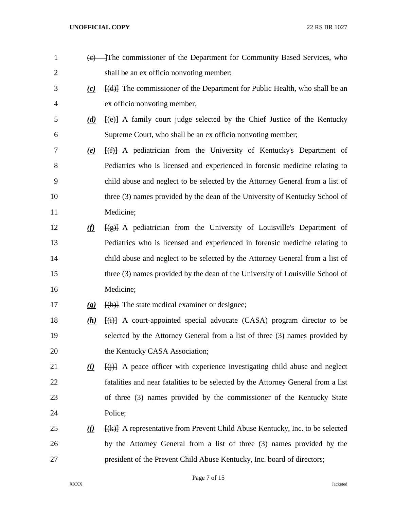| $\mathbf{1}$   |                             | (e) The commissioner of the Department for Community Based Services, who                  |
|----------------|-----------------------------|-------------------------------------------------------------------------------------------|
| $\overline{c}$ |                             | shall be an ex officio nonvoting member;                                                  |
| 3              | (c)                         | $\{\{\mathbf d\}\}$ The commissioner of the Department for Public Health, who shall be an |
| 4              |                             | ex officio nonvoting member;                                                              |
| 5              | (d)                         | $[\text{e}]$ A family court judge selected by the Chief Justice of the Kentucky           |
| 6              |                             | Supreme Court, who shall be an ex officio nonvoting member;                               |
| 7              | $\left(\mathbf{e}\right)$   | $\{\text{f},\text{f}\}$ A pediatrician from the University of Kentucky's Department of    |
| 8              |                             | Pediatrics who is licensed and experienced in forensic medicine relating to               |
| 9              |                             | child abuse and neglect to be selected by the Attorney General from a list of             |
| 10             |                             | three (3) names provided by the dean of the University of Kentucky School of              |
| 11             |                             | Medicine;                                                                                 |
| 12             | $\Omega$                    | [(g)] A pediatrician from the University of Louisville's Department of                    |
| 13             |                             | Pediatrics who is licensed and experienced in forensic medicine relating to               |
| 14             |                             | child abuse and neglect to be selected by the Attorney General from a list of             |
| 15             |                             | three (3) names provided by the dean of the University of Louisville School of            |
| 16             |                             | Medicine;                                                                                 |
| 17             | $\left( \mathbf{g} \right)$ | $\{\text{(h)}\}$ The state medical examiner or designee;                                  |
| 18             | (h)                         | $\overline{f(i)}$ A court-appointed special advocate (CASA) program director to be        |
| 19             |                             | selected by the Attorney General from a list of three (3) names provided by               |
| 20             |                             | the Kentucky CASA Association;                                                            |
| 21             | $\bf{u}$                    | $\overline{f(j)}$ A peace officer with experience investigating child abuse and neglect   |
| 22             |                             | fatalities and near fatalities to be selected by the Attorney General from a list         |
| 23             |                             | of three (3) names provided by the commissioner of the Kentucky State                     |
| 24             |                             | Police;                                                                                   |
| 25             | <u>(i)</u>                  | $\{\kappa\}$ A representative from Prevent Child Abuse Kentucky, Inc. to be selected      |
| 26             |                             | by the Attorney General from a list of three (3) names provided by the                    |
| 27             |                             | president of the Prevent Child Abuse Kentucky, Inc. board of directors;                   |

Page 7 of 15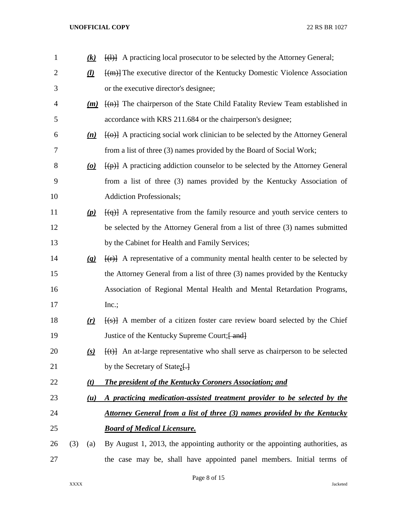| $\mathbf{1}$   |     | <u>(k)</u>                   | $\overline{(\cdot)}$ A practicing local prosecutor to be selected by the Attorney General; |
|----------------|-----|------------------------------|--------------------------------------------------------------------------------------------|
| $\overline{2}$ |     | $\Omega$                     | $\frac{f(m)}{m}$ The executive director of the Kentucky Domestic Violence Association      |
| 3              |     |                              | or the executive director's designee;                                                      |
| 4              |     | (m)                          | $\{\{n\}\}$ The chairperson of the State Child Fatality Review Team established in         |
| 5              |     |                              | accordance with KRS 211.684 or the chairperson's designee;                                 |
| 6              |     | (n)                          | (0)] A practicing social work clinician to be selected by the Attorney General             |
| 7              |     |                              | from a list of three (3) names provided by the Board of Social Work;                       |
| 8              |     | $\omega$                     | $\{\downarrow p\}$ A practicing addiction counselor to be selected by the Attorney General |
| 9              |     |                              | from a list of three (3) names provided by the Kentucky Association of                     |
| 10             |     |                              | <b>Addiction Professionals;</b>                                                            |
| 11             |     | (p)                          | $\overline{f(q)}$ A representative from the family resource and youth service centers to   |
| 12             |     |                              | be selected by the Attorney General from a list of three (3) names submitted               |
| 13             |     |                              | by the Cabinet for Health and Family Services;                                             |
| 14             |     | $\left(\underline{q}\right)$ | $\frac{f(r)}{f(r)}$ A representative of a community mental health center to be selected by |
| 15             |     |                              | the Attorney General from a list of three (3) names provided by the Kentucky               |
| 16             |     |                              | Association of Regional Mental Health and Mental Retardation Programs,                     |
| 17             |     |                              | Inc.;                                                                                      |
| 18             |     | (r)                          | $\frac{[s]}{[s]}$ A member of a citizen foster care review board selected by the Chief     |
| 19             |     |                              | Justice of the Kentucky Supreme Court; [ and ]                                             |
| 20             |     | (s)                          | $\{\text{(t)}\}$ An at-large representative who shall serve as chairperson to be selected  |
| 21             |     |                              | by the Secretary of State: $\left\{\cdot\right\}$                                          |
| 22             |     | (t)                          | <b>The president of the Kentucky Coroners Association; and</b>                             |
| 23             |     | (u)                          | A practicing medication-assisted treatment provider to be selected by the                  |
| 24             |     |                              | Attorney General from a list of three (3) names provided by the Kentucky                   |
| 25             |     |                              | <b>Board of Medical Licensure.</b>                                                         |
| 26             | (3) | (a)                          | By August 1, 2013, the appointing authority or the appointing authorities, as              |
| 27             |     |                              | the case may be, shall have appointed panel members. Initial terms of                      |

Page 8 of 15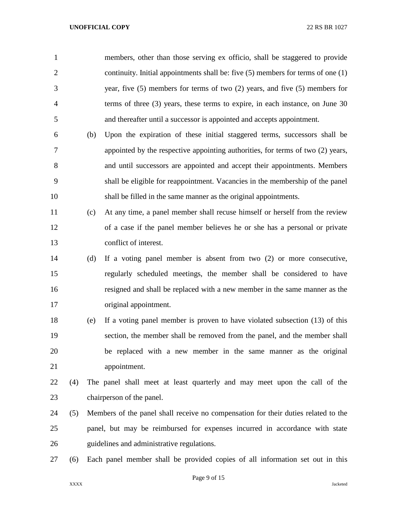| $\mathbf{1}$   |     |     | members, other than those serving ex officio, shall be staggered to provide          |
|----------------|-----|-----|--------------------------------------------------------------------------------------|
| $\overline{2}$ |     |     | continuity. Initial appointments shall be: five $(5)$ members for terms of one $(1)$ |
| 3              |     |     | year, five $(5)$ members for terms of two $(2)$ years, and five $(5)$ members for    |
| $\overline{4}$ |     |     | terms of three $(3)$ years, these terms to expire, in each instance, on June 30      |
| 5              |     |     | and thereafter until a successor is appointed and accepts appointment.               |
| 6              |     | (b) | Upon the expiration of these initial staggered terms, successors shall be            |
| 7              |     |     | appointed by the respective appointing authorities, for terms of two (2) years,      |
| 8              |     |     | and until successors are appointed and accept their appointments. Members            |
| 9              |     |     | shall be eligible for reappointment. Vacancies in the membership of the panel        |
| 10             |     |     | shall be filled in the same manner as the original appointments.                     |
| 11             |     | (c) | At any time, a panel member shall recuse himself or herself from the review          |
| 12             |     |     | of a case if the panel member believes he or she has a personal or private           |
| 13             |     |     | conflict of interest.                                                                |
| 14             |     | (d) | If a voting panel member is absent from two $(2)$ or more consecutive,               |
| 15             |     |     | regularly scheduled meetings, the member shall be considered to have                 |
| 16             |     |     | resigned and shall be replaced with a new member in the same manner as the           |
| 17             |     |     | original appointment.                                                                |
| 18             |     | (e) | If a voting panel member is proven to have violated subsection (13) of this          |
| 19             |     |     | section, the member shall be removed from the panel, and the member shall            |
| 20             |     |     | be replaced with a new member in the same manner as the original                     |
| 21             |     |     | appointment.                                                                         |
| 22             | (4) |     | The panel shall meet at least quarterly and may meet upon the call of the            |
| 23             |     |     | chairperson of the panel.                                                            |
| 24             | (5) |     | Members of the panel shall receive no compensation for their duties related to the   |
| 25             |     |     | panel, but may be reimbursed for expenses incurred in accordance with state          |
| 26             |     |     | guidelines and administrative regulations.                                           |
| 27             | (6) |     | Each panel member shall be provided copies of all information set out in this        |
|                |     |     |                                                                                      |

Page 9 of 15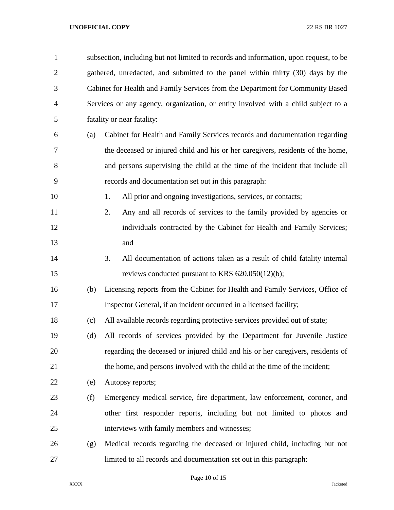| $\mathbf{1}$   |     | subsection, including but not limited to records and information, upon request, to be |
|----------------|-----|---------------------------------------------------------------------------------------|
| $\overline{2}$ |     | gathered, unredacted, and submitted to the panel within thirty (30) days by the       |
| 3              |     | Cabinet for Health and Family Services from the Department for Community Based        |
| $\overline{4}$ |     | Services or any agency, organization, or entity involved with a child subject to a    |
| 5              |     | fatality or near fatality:                                                            |
| 6              | (a) | Cabinet for Health and Family Services records and documentation regarding            |
| 7              |     | the deceased or injured child and his or her caregivers, residents of the home,       |
| 8              |     | and persons supervising the child at the time of the incident that include all        |
| 9              |     | records and documentation set out in this paragraph:                                  |
| 10             |     | All prior and ongoing investigations, services, or contacts;<br>1.                    |
| 11             |     | 2.<br>Any and all records of services to the family provided by agencies or           |
| 12             |     | individuals contracted by the Cabinet for Health and Family Services;                 |
| 13             |     | and                                                                                   |
| 14             |     | 3.<br>All documentation of actions taken as a result of child fatality internal       |
| 15             |     | reviews conducted pursuant to KRS 620.050(12)(b);                                     |
| 16             | (b) | Licensing reports from the Cabinet for Health and Family Services, Office of          |
| 17             |     | Inspector General, if an incident occurred in a licensed facility;                    |
| 18             | (c) | All available records regarding protective services provided out of state;            |
| 19             | (d) | All records of services provided by the Department for Juvenile Justice               |
| 20             |     | regarding the deceased or injured child and his or her caregivers, residents of       |
| 21             |     | the home, and persons involved with the child at the time of the incident;            |
| 22             | (e) | Autopsy reports;                                                                      |
| 23             | (f) | Emergency medical service, fire department, law enforcement, coroner, and             |
| 24             |     | other first responder reports, including but not limited to photos and                |
| 25             |     | interviews with family members and witnesses;                                         |
| 26             | (g) | Medical records regarding the deceased or injured child, including but not            |
| 27             |     | limited to all records and documentation set out in this paragraph:                   |

Page 10 of 15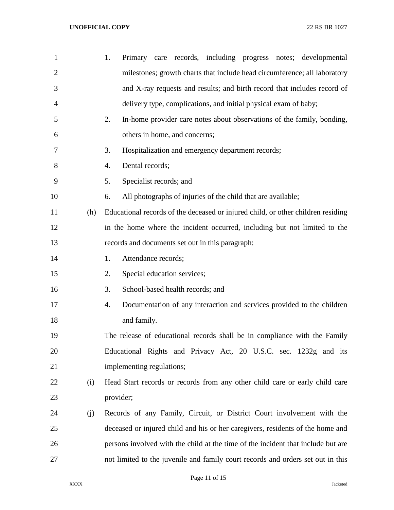| $\mathbf{1}$   |     | 1.<br>Primary care records, including progress notes; developmental              |
|----------------|-----|----------------------------------------------------------------------------------|
| $\overline{2}$ |     | milestones; growth charts that include head circumference; all laboratory        |
| 3              |     | and X-ray requests and results; and birth record that includes record of         |
| 4              |     | delivery type, complications, and initial physical exam of baby;                 |
| 5              |     | In-home provider care notes about observations of the family, bonding,<br>2.     |
| 6              |     | others in home, and concerns;                                                    |
| 7              |     | 3.<br>Hospitalization and emergency department records;                          |
| 8              |     | Dental records;<br>4.                                                            |
| 9              |     | Specialist records; and<br>5.                                                    |
| 10             |     | All photographs of injuries of the child that are available;<br>6.               |
| 11             | (h) | Educational records of the deceased or injured child, or other children residing |
| 12             |     | in the home where the incident occurred, including but not limited to the        |
| 13             |     | records and documents set out in this paragraph:                                 |
| 14             |     | Attendance records;<br>1.                                                        |
| 15             |     | Special education services;<br>2.                                                |
| 16             |     | School-based health records; and<br>3.                                           |
| 17             |     | Documentation of any interaction and services provided to the children<br>4.     |
| 18             |     | and family.                                                                      |
| 19             |     | The release of educational records shall be in compliance with the Family        |
| 20             |     | Educational Rights and Privacy Act, 20 U.S.C. sec. 1232g and its                 |
| 21             |     | implementing regulations;                                                        |
| 22             | (i) | Head Start records or records from any other child care or early child care      |
| 23             |     | provider;                                                                        |
| 24             | (j) | Records of any Family, Circuit, or District Court involvement with the           |
| 25             |     | deceased or injured child and his or her caregivers, residents of the home and   |
| 26             |     | persons involved with the child at the time of the incident that include but are |
| 27             |     | not limited to the juvenile and family court records and orders set out in this  |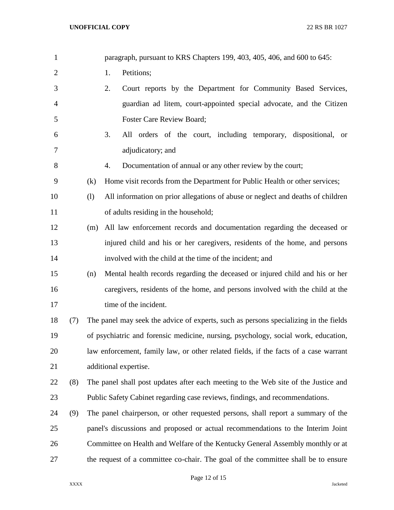| $\mathbf{1}$   |     | paragraph, pursuant to KRS Chapters 199, 403, 405, 406, and 600 to 645:                |
|----------------|-----|----------------------------------------------------------------------------------------|
| $\overline{2}$ |     | Petitions;<br>1.                                                                       |
| 3              |     | 2.<br>Court reports by the Department for Community Based Services,                    |
| 4              |     | guardian ad litem, court-appointed special advocate, and the Citizen                   |
| 5              |     | Foster Care Review Board;                                                              |
| 6              |     | All orders of the court, including temporary, dispositional,<br>3.<br><sub>or</sub>    |
| 7              |     | adjudicatory; and                                                                      |
| 8              |     | Documentation of annual or any other review by the court;<br>4.                        |
| 9              |     | Home visit records from the Department for Public Health or other services;<br>(k)     |
| 10             |     | All information on prior allegations of abuse or neglect and deaths of children<br>(1) |
| 11             |     | of adults residing in the household;                                                   |
| 12             |     | All law enforcement records and documentation regarding the deceased or<br>(m)         |
| 13             |     | injured child and his or her caregivers, residents of the home, and persons            |
| 14             |     | involved with the child at the time of the incident; and                               |
| 15             |     | Mental health records regarding the deceased or injured child and his or her<br>(n)    |
| 16             |     | caregivers, residents of the home, and persons involved with the child at the          |
| 17             |     | time of the incident.                                                                  |
| 18             | (7) | The panel may seek the advice of experts, such as persons specializing in the fields   |
| 19             |     | of psychiatric and forensic medicine, nursing, psychology, social work, education,     |
| 20             |     | law enforcement, family law, or other related fields, if the facts of a case warrant   |
| 21             |     | additional expertise.                                                                  |
| 22             | (8) | The panel shall post updates after each meeting to the Web site of the Justice and     |
| 23             |     | Public Safety Cabinet regarding case reviews, findings, and recommendations.           |
| 24             | (9) | The panel chairperson, or other requested persons, shall report a summary of the       |
| 25             |     | panel's discussions and proposed or actual recommendations to the Interim Joint        |
| 26             |     | Committee on Health and Welfare of the Kentucky General Assembly monthly or at         |
| 27             |     | the request of a committee co-chair. The goal of the committee shall be to ensure      |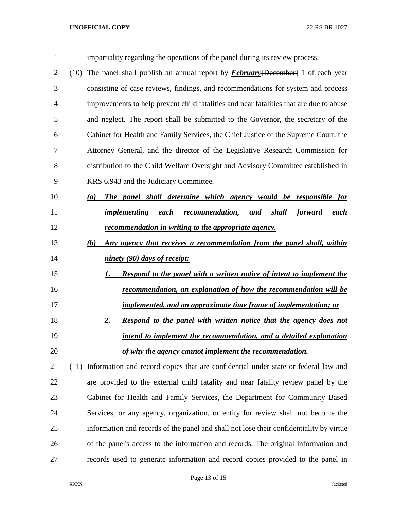| 1              | impartiality regarding the operations of the panel during its review process.                 |
|----------------|-----------------------------------------------------------------------------------------------|
| $\overline{2}$ | The panel shall publish an annual report by <b>February</b> [December] 1 of each year<br>(10) |
| 3              | consisting of case reviews, findings, and recommendations for system and process              |
| 4              | improvements to help prevent child fatalities and near fatalities that are due to abuse       |
| 5              | and neglect. The report shall be submitted to the Governor, the secretary of the              |
| 6              | Cabinet for Health and Family Services, the Chief Justice of the Supreme Court, the           |
| 7              | Attorney General, and the director of the Legislative Research Commission for                 |
| 8              | distribution to the Child Welfare Oversight and Advisory Committee established in             |
| 9              | KRS 6.943 and the Judiciary Committee.                                                        |
| 10             | The panel shall determine which agency would be responsible for<br>(a)                        |
| 11             | implementing<br>each<br><i>recommendation,</i><br>and shall<br><i>forward</i><br>each         |
| 12             | <u>recommendation in writing to the appropriate agency.</u>                                   |
| 13             | Any agency that receives a recommendation from the panel shall, within<br>(b)                 |
| 14             | ninety (90) days of receipt:                                                                  |
| 15             | <b>Respond to the panel with a written notice of intent to implement the</b><br>1.            |
| 16             | recommendation, an explanation of how the recommendation will be                              |
| 17             | <i>implemented, and an approximate time frame of implementation; or</i>                       |
| 18             | 2.<br><b>Respond to the panel with written notice that the agency does not</b>                |
| 19             | intend to implement the recommendation, and a detailed explanation                            |
| 20             | of why the agency cannot implement the recommendation.                                        |
| 21             | (11) Information and record copies that are confidential under state or federal law and       |
| 22             | are provided to the external child fatality and near fatality review panel by the             |
| 23             | Cabinet for Health and Family Services, the Department for Community Based                    |
| 24             | Services, or any agency, organization, or entity for review shall not become the              |
| 25             | information and records of the panel and shall not lose their confidentiality by virtue       |
| 26             | of the panel's access to the information and records. The original information and            |
| 27             | records used to generate information and record copies provided to the panel in               |

## Page 13 of 15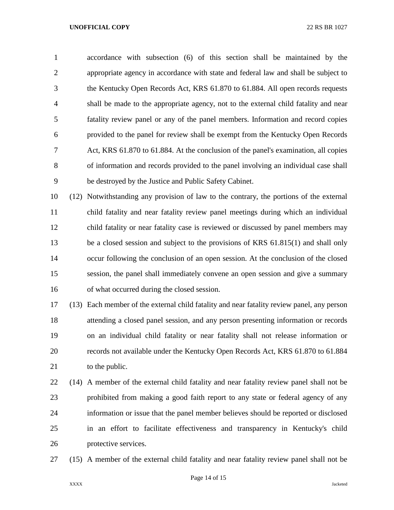accordance with subsection (6) of this section shall be maintained by the appropriate agency in accordance with state and federal law and shall be subject to the Kentucky Open Records Act, KRS 61.870 to 61.884. All open records requests shall be made to the appropriate agency, not to the external child fatality and near fatality review panel or any of the panel members. Information and record copies provided to the panel for review shall be exempt from the Kentucky Open Records Act, KRS 61.870 to 61.884. At the conclusion of the panel's examination, all copies of information and records provided to the panel involving an individual case shall be destroyed by the Justice and Public Safety Cabinet.

 (12) Notwithstanding any provision of law to the contrary, the portions of the external child fatality and near fatality review panel meetings during which an individual child fatality or near fatality case is reviewed or discussed by panel members may be a closed session and subject to the provisions of KRS 61.815(1) and shall only occur following the conclusion of an open session. At the conclusion of the closed session, the panel shall immediately convene an open session and give a summary of what occurred during the closed session.

 (13) Each member of the external child fatality and near fatality review panel, any person attending a closed panel session, and any person presenting information or records on an individual child fatality or near fatality shall not release information or records not available under the Kentucky Open Records Act, KRS 61.870 to 61.884 21 to the public.

 (14) A member of the external child fatality and near fatality review panel shall not be prohibited from making a good faith report to any state or federal agency of any information or issue that the panel member believes should be reported or disclosed in an effort to facilitate effectiveness and transparency in Kentucky's child protective services.

(15) A member of the external child fatality and near fatality review panel shall not be